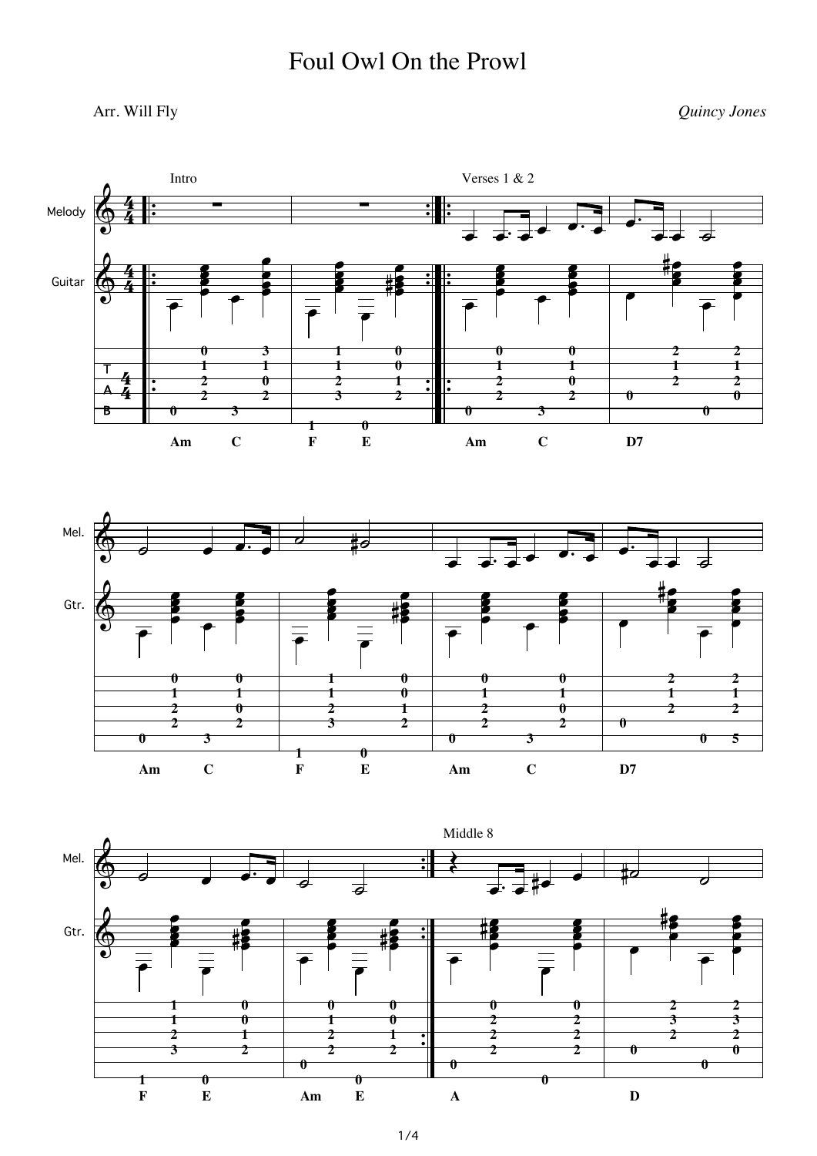## Arr. Will Fly *Quincy Jones*

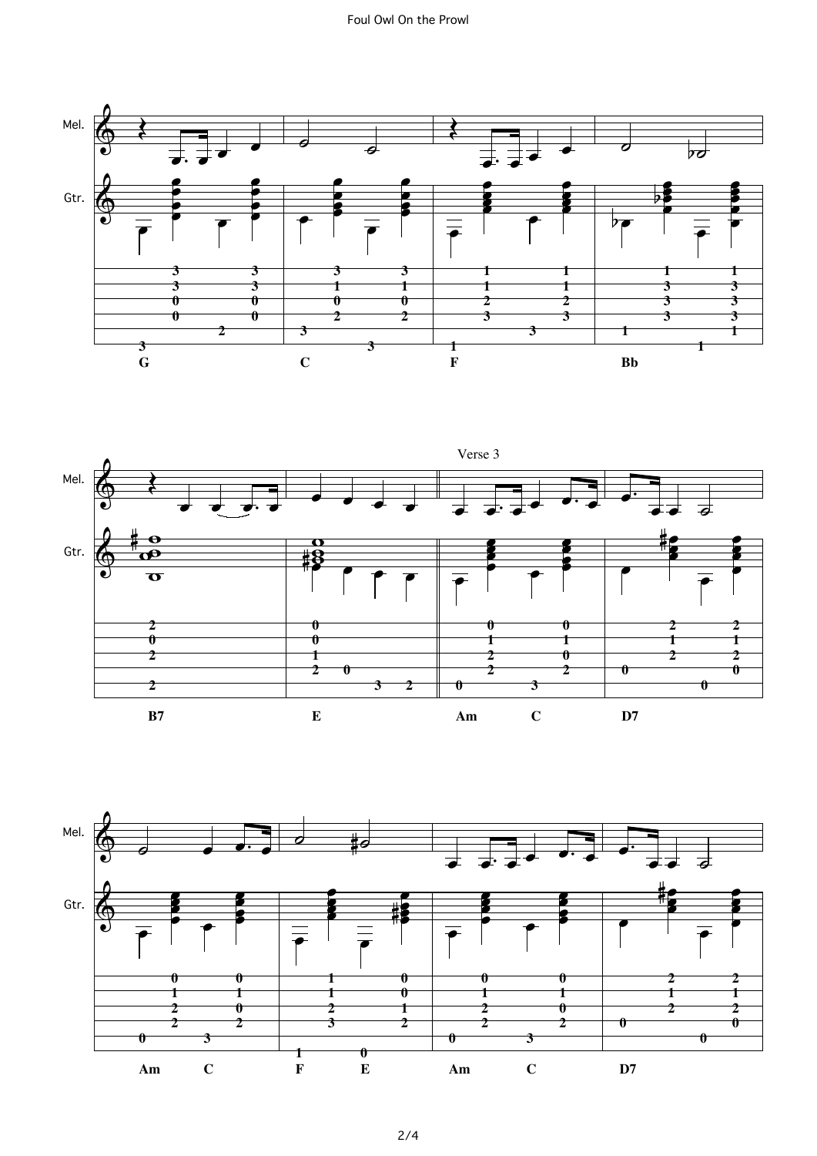Foul Owl On the Prowl





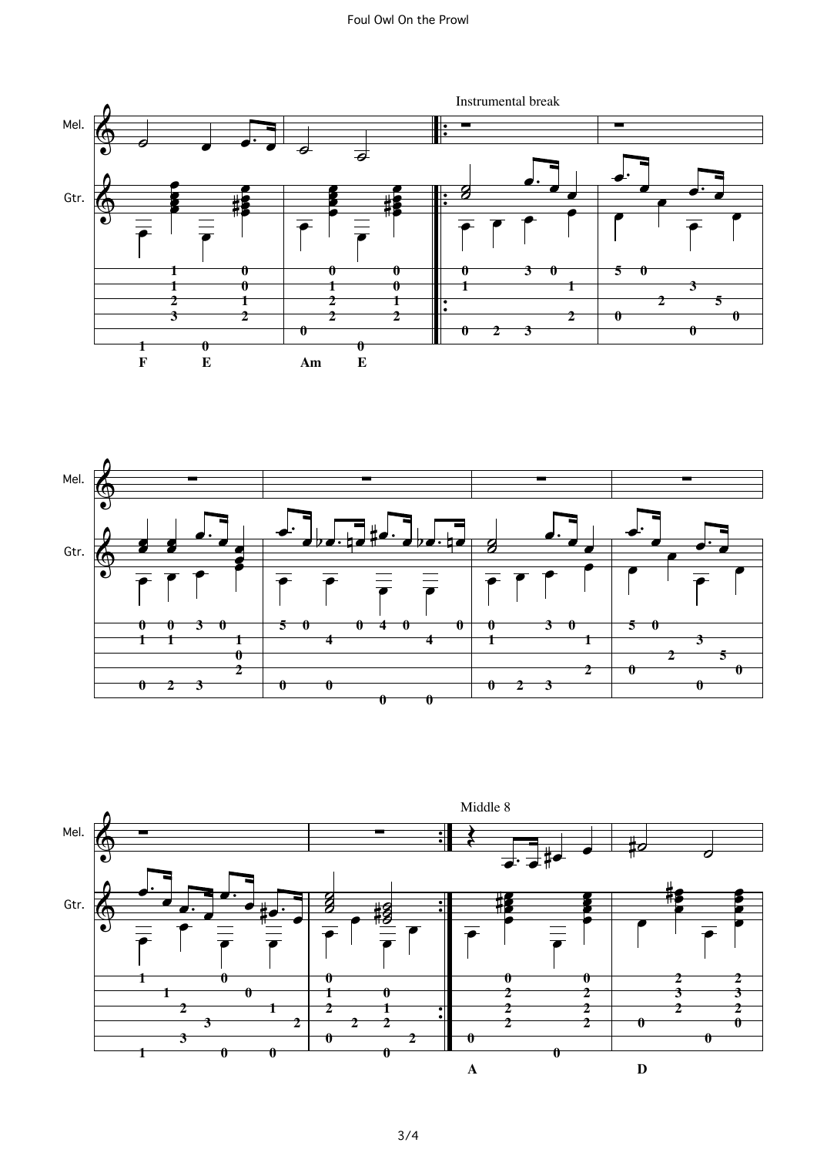## Foul Owl On the Prowl